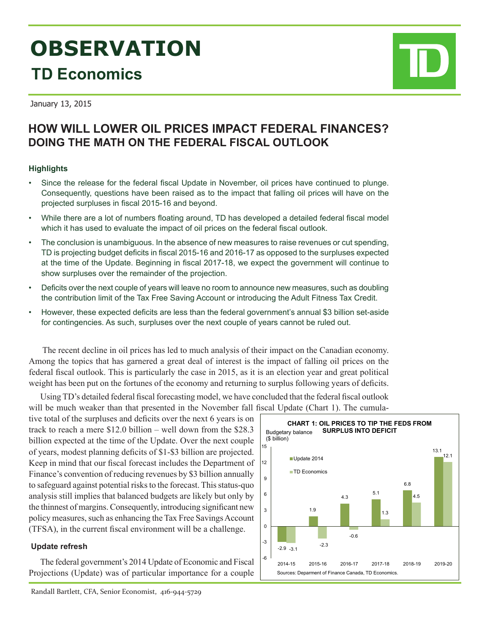# **OBSERVATION TD Economics**

January 13, 2015

# **HOW WILL LOWER OIL PRICES IMPACT FEDERAL FINANCES? DOING THE MATH ON THE FEDERAL FISCAL OUTLOOK**

# **Highlights**

- Since the release for the federal fiscal Update in November, oil prices have continued to plunge. Consequently, questions have been raised as to the impact that falling oil prices will have on the projected surpluses in fiscal 2015-16 and beyond.
- While there are a lot of numbers floating around, TD has developed a detailed federal fiscal model which it has used to evaluate the impact of oil prices on the federal fiscal outlook.
- The conclusion is unambiguous. In the absence of new measures to raise revenues or cut spending, TD is projecting budget deficits in fiscal 2015-16 and 2016-17 as opposed to the surpluses expected at the time of the Update. Beginning in fiscal 2017-18, we expect the government will continue to show surpluses over the remainder of the projection.
- Deficits over the next couple of years will leave no room to announce new measures, such as doubling the contribution limit of the Tax Free Saving Account or introducing the Adult Fitness Tax Credit.
- However, these expected deficits are less than the federal government's annual \$3 billion set-aside for contingencies. As such, surpluses over the next couple of years cannot be ruled out.

 The recent decline in oil prices has led to much analysis of their impact on the Canadian economy. Among the topics that has garnered a great deal of interest is the impact of falling oil prices on the federal fiscal outlook. This is particularly the case in 2015, as it is an election year and great political weight has been put on the fortunes of the economy and returning to surplus following years of deficits.

Using TD's detailed federal fiscal forecasting model, we have concluded that the federal fiscal outlook will be much weaker than that presented in the November fall fiscal Update (Chart 1). The cumula-

tive total of the surpluses and deficits over the next 6 years is on track to reach a mere \$12.0 billion – well down from the \$28.3 billion expected at the time of the Update. Over the next couple of years, modest planning deficits of \$1-\$3 billion are projected. Keep in mind that our fiscal forecast includes the Department of Finance's convention of reducing revenues by \$3 billion annually to safeguard against potential risks to the forecast. This status-quo analysis still implies that balanced budgets are likely but only by the thinnest of margins. Consequently, introducing significant new policy measures, such as enhancing the Tax Free Savings Account (TFSA), in the current fiscal environment will be a challenge.

# **Update refresh**

The federal government's 2014 Update of Economic and Fiscal Projections (Update) was of particular importance for a couple

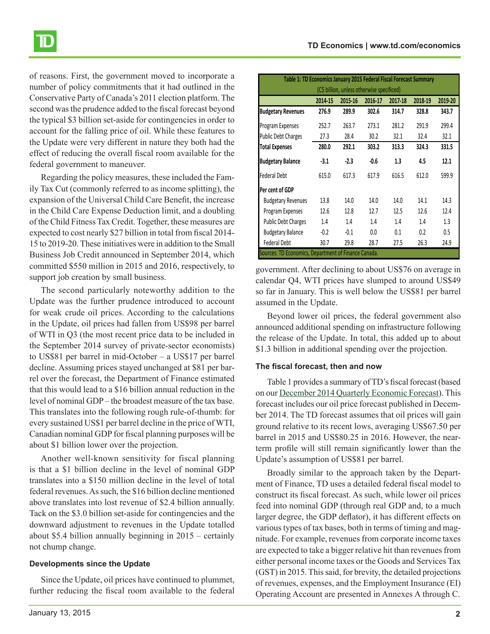of reasons. First, the government moved to incorporate a number of policy commitments that it had outlined in the Conservative Party of Canada's 2011 election platform. The second was the prudence added to the fiscal forecast beyond the typical \$3 billion set-aside for contingencies in order to account for the falling price of oil. While these features to the Update were very different in nature they both had the effect of reducing the overall fiscal room available for the federal government to maneuver.

Regarding the policy measures, these included the Family Tax Cut (commonly referred to as income splitting), the expansion of the Universal Child Care Benefit, the increase in the Child Care Expense Deduction limit, and a doubling of the Child Fitness Tax Credit. Together, these measures are expected to cost nearly \$27 billion in total from fiscal 2014- 15 to 2019-20. These initiatives were in addition to the Small Business Job Credit announced in September 2014, which committed \$550 million in 2015 and 2016, respectively, to support job creation by small business.

The second particularly noteworthy addition to the Update was the further prudence introduced to account for weak crude oil prices. According to the calculations in the Update, oil prices had fallen from US\$98 per barrel of WTI in Q3 (the most recent price data to be included in the September 2014 survey of private-sector economists) to US\$81 per barrel in mid-October – a US\$17 per barrel decline. Assuming prices stayed unchanged at \$81 per barrel over the forecast, the Department of Finance estimated that this would lead to a \$16 billion annual reduction in the level of nominal GDP – the broadest measure of the tax base. This translates into the following rough rule-of-thumb: for every sustained US\$1 per barrel decline in the price of WTI, Canadian nominal GDP for fiscal planning purposes will be about \$1 billion lower over the projection.

Another well-known sensitivity for fiscal planning is that a \$1 billion decline in the level of nominal GDP translates into a \$150 million decline in the level of total federal revenues. As such, the \$16 billion decline mentioned above translates into lost revenue of \$2.4 billion annually. Tack on the \$3.0 billion set-aside for contingencies and the downward adjustment to revenues in the Update totalled about \$5.4 billion annually beginning in 2015 – certainly not chump change.

#### **Developments since the Update**

Since the Update, oil prices have continued to plummet, further reducing the fiscal room available to the federal

| Table 1: TD Economics January 2015 Federal Fiscal Forecast Summary |         |         |         |         |         |         |  |  |  |  |
|--------------------------------------------------------------------|---------|---------|---------|---------|---------|---------|--|--|--|--|
| (C\$ billion, unless otherwise specificed)                         |         |         |         |         |         |         |  |  |  |  |
|                                                                    | 2014-15 | 2015-16 | 2016-17 | 2017-18 | 2018-19 | 2019-20 |  |  |  |  |
| <b>Budgetary Revenues</b>                                          | 276.9   | 289.9   | 302.6   | 314.7   | 328.8   | 343.7   |  |  |  |  |
| Program Expenses                                                   | 252.7   | 263.7   | 273.1   | 281.2   | 291.9   | 299.4   |  |  |  |  |
| <b>Public Debt Charges</b>                                         | 27.3    | 28.4    | 30.2    | 32.1    | 32.4    | 32.1    |  |  |  |  |
| <b>Total Expenses</b>                                              | 280.0   | 292.1   | 303.2   | 313.3   | 324.3   | 331.5   |  |  |  |  |
| <b>Budgetary Balance</b>                                           | $-3.1$  | $-2.3$  | -0.6    | 1.3     | 4.5     | 12.1    |  |  |  |  |
| <b>Federal Debt</b>                                                | 615.0   | 617.3   | 617.9   | 616.5   | 612.0   | 599.9   |  |  |  |  |
| Per cent of GDP                                                    |         |         |         |         |         |         |  |  |  |  |
| <b>Budgetary Revenues</b>                                          | 13.8    | 14.0    | 14.0    | 14.0    | 14.1    | 14.3    |  |  |  |  |
| Program Expenses                                                   | 12.6    | 12.8    | 12.7    | 12.5    | 12.6    | 12.4    |  |  |  |  |
| <b>Public Debt Charges</b>                                         | 1.4     | 1.4     | 1.4     | 1.4     | 1.4     | 1.3     |  |  |  |  |
| <b>Budgetary Balance</b>                                           | $-0.2$  | $-0.1$  | 0.0     | 0.1     | 0.2     | 0.5     |  |  |  |  |
| <b>Federal Debt</b>                                                | 30.7    | 29.8    | 28.7    | 27.5    | 26.3    | 24.9    |  |  |  |  |
| Sources: TD Economics, Department of Finance Canada.               |         |         |         |         |         |         |  |  |  |  |

government. After declining to about US\$76 on average in calendar Q4, WTI prices have slumped to around US\$49 so far in January. This is well below the US\$81 per barrel assumed in the Update.

Beyond lower oil prices, the federal government also announced additional spending on infrastructure following the release of the Update. In total, this added up to about \$1.3 billion in additional spending over the projection.

# **The fiscal forecast, then and now**

Table 1 provides a summary of TD's fiscal forecast (based on our [December 2014 Quarterly Economic Forecast](http://www.td.com/document/PDF/economics/qef/qefdec2014_canada.pdf)). This forecast includes our oil price forecast published in December 2014. The TD forecast assumes that oil prices will gain ground relative to its recent lows, averaging US\$67.50 per barrel in 2015 and US\$80.25 in 2016. However, the nearterm profile will still remain significantly lower than the Update's assumption of US\$81 per barrel.

Broadly similar to the approach taken by the Department of Finance, TD uses a detailed federal fiscal model to construct its fiscal forecast. As such, while lower oil prices feed into nominal GDP (through real GDP and, to a much larger degree, the GDP deflator), it has different effects on various types of tax bases, both in terms of timing and magnitude. For example, revenues from corporate income taxes are expected to take a bigger relative hit than revenues from either personal income taxes or the Goods and Services Tax (GST) in 2015. This said, for brevity, the detailed projections of revenues, expenses, and the Employment Insurance (EI) Operating Account are presented in Annexes A through C.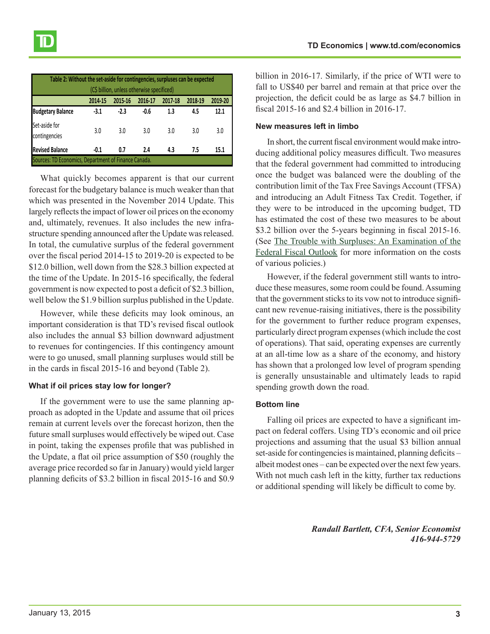| Table 2: Without the set-aside for contingencies, surpluses can be expected<br>(C\$ billion, unless otherwise specificed) |        |        |        |     |     |      |  |  |  |  |
|---------------------------------------------------------------------------------------------------------------------------|--------|--------|--------|-----|-----|------|--|--|--|--|
| 2019-20<br>2017-18<br>2018-19<br>2014-15<br>2015-16<br>2016-17                                                            |        |        |        |     |     |      |  |  |  |  |
| <b>Budgetary Balance</b>                                                                                                  | $-3.1$ | $-2.3$ | $-0.6$ | 1.3 | 4.5 | 12.1 |  |  |  |  |
| Set-aside for<br>contingencies                                                                                            | 3.0    | 3.0    | 3.0    | 3.0 | 3.0 | 3.0  |  |  |  |  |
| <b>Revised Balance</b>                                                                                                    | -0.1   | 0.7    | 2.4    | 4.3 | 7.5 | 15.1 |  |  |  |  |
| Sources: TD Economics, Department of Finance Canada.                                                                      |        |        |        |     |     |      |  |  |  |  |

What quickly becomes apparent is that our current forecast for the budgetary balance is much weaker than that which was presented in the November 2014 Update. This largely reflects the impact of lower oil prices on the economy and, ultimately, revenues. It also includes the new infrastructure spending announced after the Update was released. In total, the cumulative surplus of the federal government over the fiscal period 2014-15 to 2019-20 is expected to be \$12.0 billion, well down from the \$28.3 billion expected at the time of the Update. In 2015-16 specifically, the federal government is now expected to post a deficit of \$2.3 billion, well below the \$1.9 billion surplus published in the Update.

However, while these deficits may look ominous, an important consideration is that TD's revised fiscal outlook also includes the annual \$3 billion downward adjustment to revenues for contingencies. If this contingency amount were to go unused, small planning surpluses would still be in the cards in fiscal 2015-16 and beyond (Table 2).

#### **What if oil prices stay low for longer?**

If the government were to use the same planning approach as adopted in the Update and assume that oil prices remain at current levels over the forecast horizon, then the future small surpluses would effectively be wiped out. Case in point, taking the expenses profile that was published in the Update, a flat oil price assumption of \$50 (roughly the average price recorded so far in January) would yield larger planning deficits of \$3.2 billion in fiscal 2015-16 and \$0.9

billion in 2016-17. Similarly, if the price of WTI were to fall to US\$40 per barrel and remain at that price over the projection, the deficit could be as large as \$4.7 billion in fiscal 2015-16 and \$2.4 billion in 2016-17.

#### **New measures left in limbo**

In short, the current fiscal environment would make introducing additional policy measures difficult. Two measures that the federal government had committed to introducing once the budget was balanced were the doubling of the contribution limit of the Tax Free Savings Account (TFSA) and introducing an Adult Fitness Tax Credit. Together, if they were to be introduced in the upcoming budget, TD has estimated the cost of these two measures to be about \$3.2 billion over the 5-years beginning in fiscal 2015-16. (See [The Trouble with Surpluses: An Examination of the](http://www.td.com/document/PDF/economics/special/Federal_Fiscal_Outlook.pdf) [Federal Fiscal Outlook](http://www.td.com/document/PDF/economics/special/Federal_Fiscal_Outlook.pdf) for more information on the costs of various policies.)

However, if the federal government still wants to introduce these measures, some room could be found. Assuming that the government sticks to its vow not to introduce significant new revenue-raising initiatives, there is the possibility for the government to further reduce program expenses, particularly direct program expenses (which include the cost of operations). That said, operating expenses are currently at an all-time low as a share of the economy, and history has shown that a prolonged low level of program spending is generally unsustainable and ultimately leads to rapid spending growth down the road.

#### **Bottom line**

Falling oil prices are expected to have a significant impact on federal coffers. Using TD's economic and oil price projections and assuming that the usual \$3 billion annual set-aside for contingencies is maintained, planning deficits – albeit modest ones – can be expected over the next few years. With not much cash left in the kitty, further tax reductions or additional spending will likely be difficult to come by.

> *Randall Bartlett, CFA, Senior Economist 416-944-5729*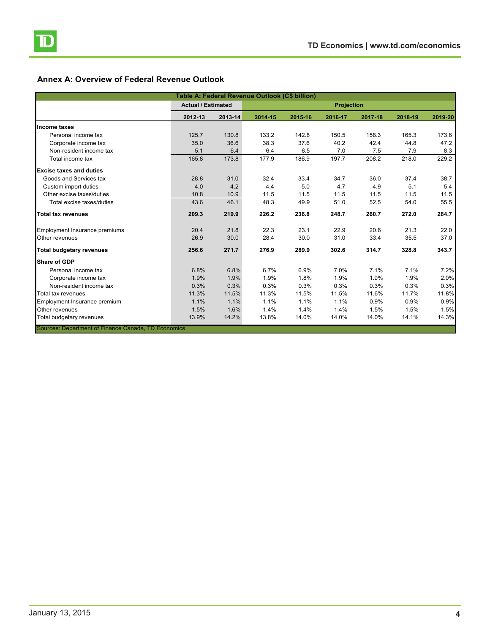# **Annex A: Overview of Federal Revenue Outlook**

| Table A: Federal Revenue Outlook (C\$ billion)       |                           |         |                   |         |         |         |         |         |  |
|------------------------------------------------------|---------------------------|---------|-------------------|---------|---------|---------|---------|---------|--|
|                                                      | <b>Actual / Estimated</b> |         | <b>Projection</b> |         |         |         |         |         |  |
|                                                      | 2012-13                   | 2013-14 | 2014-15           | 2015-16 | 2016-17 | 2017-18 | 2018-19 | 2019-20 |  |
| <b>Income taxes</b>                                  |                           |         |                   |         |         |         |         |         |  |
| Personal income tax                                  | 125.7                     | 130.8   | 133.2             | 142.8   | 150.5   | 158.3   | 165.3   | 173.6   |  |
| Corporate income tax                                 | 35.0                      | 36.6    | 38.3              | 37.6    | 40.2    | 42.4    | 44.8    | 47.2    |  |
| Non-resident income tax                              | 5.1                       | 6.4     | 6.4               | 6.5     | 7.0     | 7.5     | 7.9     | 8.3     |  |
| Total income tax                                     | 165.8                     | 173.8   | 177.9             | 186.9   | 197.7   | 208.2   | 218.0   | 229.2   |  |
| <b>Excise taxes and duties</b>                       |                           |         |                   |         |         |         |         |         |  |
| Goods and Services tax                               | 28.8                      | 31.0    | 32.4              | 33.4    | 34.7    | 36.0    | 37.4    | 38.7    |  |
| Custom import duties                                 | 4.0                       | 4.2     | 4.4               | 5.0     | 4.7     | 4.9     | 5.1     | 5.4     |  |
| Other excise taxes/duties                            | 10.8                      | 10.9    | 11.5              | 11.5    | 11.5    | 11.5    | 11.5    | 11.5    |  |
| Total excise taxes/duties                            | 43.6                      | 46.1    | 48.3              | 49.9    | 51.0    | 52.5    | 54.0    | 55.5    |  |
| <b>Total tax revenues</b>                            | 209.3                     | 219.9   | 226.2             | 236.8   | 248.7   | 260.7   | 272.0   | 284.7   |  |
| <b>Employment Insurance premiums</b>                 | 20.4                      | 21.8    | 22.3              | 23.1    | 22.9    | 20.6    | 21.3    | 22.0    |  |
| Other revenues                                       | 26.9                      | 30.0    | 28.4              | 30.0    | 31.0    | 33.4    | 35.5    | 37.0    |  |
| <b>Total budgetary revenues</b>                      | 256.6                     | 271.7   | 276.9             | 289.9   | 302.6   | 314.7   | 328.8   | 343.7   |  |
| <b>Share of GDP</b>                                  |                           |         |                   |         |         |         |         |         |  |
| Personal income tax                                  | 6.8%                      | 6.8%    | 6.7%              | 6.9%    | 7.0%    | 7.1%    | 7.1%    | 7.2%    |  |
| Corporate income tax                                 | 1.9%                      | 1.9%    | 1.9%              | 1.8%    | 1.9%    | 1.9%    | 1.9%    | 2.0%    |  |
| Non-resident income tax                              | 0.3%                      | 0.3%    | 0.3%              | 0.3%    | 0.3%    | 0.3%    | 0.3%    | 0.3%    |  |
| Total tax revenues                                   | 11.3%                     | 11.5%   | 11.3%             | 11.5%   | 11.5%   | 11.6%   | 11.7%   | 11.8%   |  |
| Employment Insurance premium                         | 1.1%                      | 1.1%    | 1.1%              | 1.1%    | 1.1%    | 0.9%    | 0.9%    | 0.9%    |  |
| Other revenues                                       | 1.5%                      | 1.6%    | 1.4%              | 1.4%    | 1.4%    | 1.5%    | 1.5%    | 1.5%    |  |
| Total budgetary revenues                             | 13.9%                     | 14.2%   | 13.8%             | 14.0%   | 14.0%   | 14.0%   | 14.1%   | 14.3%   |  |
| Sources: Department of Finance Canada, TD Economics. |                           |         |                   |         |         |         |         |         |  |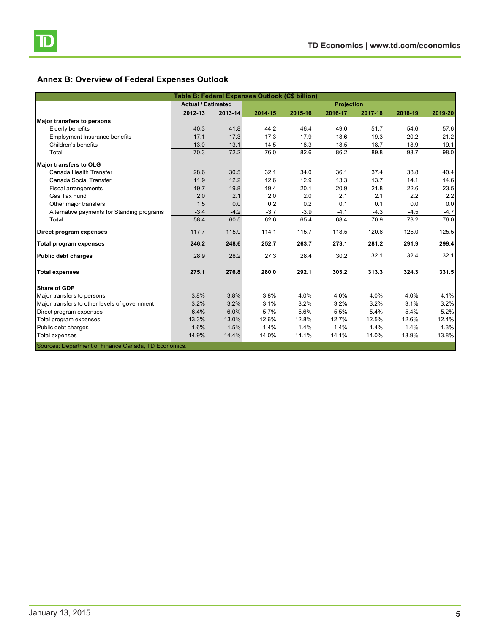

# **Annex B: Overview of Federal Expenses Outlook**

| Table B: Federal Expenses Outlook (C\$ billion)      |                           |         |                   |         |         |         |         |         |  |
|------------------------------------------------------|---------------------------|---------|-------------------|---------|---------|---------|---------|---------|--|
|                                                      | <b>Actual / Estimated</b> |         | <b>Projection</b> |         |         |         |         |         |  |
|                                                      | 2012-13                   | 2013-14 | 2014-15           | 2015-16 | 2016-17 | 2017-18 | 2018-19 | 2019-20 |  |
| <b>Major transfers to persons</b>                    |                           |         |                   |         |         |         |         |         |  |
| <b>Elderly benefits</b>                              | 40.3                      | 41.8    | 44.2              | 46.4    | 49.0    | 51.7    | 54.6    | 57.6    |  |
| <b>Employment Insurance benefits</b>                 | 17.1                      | 17.3    | 17.3              | 17.9    | 18.6    | 19.3    | 20.2    | 21.2    |  |
| Children's benefits                                  | 13.0                      | 13.1    | 14.5              | 18.3    | 18.5    | 18.7    | 18.9    | 19.1    |  |
| Total                                                | 70.3                      | 72.2    | 76.0              | 82.6    | 86.2    | 89.8    | 93.7    | 98.0    |  |
| <b>Major transfers to OLG</b>                        |                           |         |                   |         |         |         |         |         |  |
| Canada Health Transfer                               | 28.6                      | 30.5    | 32.1              | 34.0    | 36.1    | 37.4    | 38.8    | 40.4    |  |
| Canada Social Transfer                               | 11.9                      | 12.2    | 12.6              | 12.9    | 13.3    | 13.7    | 14.1    | 14.6    |  |
| <b>Fiscal arrangements</b>                           | 19.7                      | 19.8    | 19.4              | 20.1    | 20.9    | 21.8    | 22.6    | 23.5    |  |
| Gas Tax Fund                                         | 2.0                       | 2.1     | 2.0               | 2.0     | 2.1     | 2.1     | 2.2     | 2.2     |  |
| Other major transfers                                | 1.5                       | 0.0     | 0.2               | 0.2     | 0.1     | 0.1     | 0.0     | 0.0     |  |
| Alternative payments for Standing programs           | $-3.4$                    | $-4.2$  | $-3.7$            | $-3.9$  | $-4.1$  | $-4.3$  | $-4.5$  | $-4.7$  |  |
| <b>Total</b>                                         | 58.4                      | 60.5    | 62.6              | 65.4    | 68.4    | 70.9    | 73.2    | 76.0    |  |
| Direct program expenses                              | 117.7                     | 115.9   | 114.1             | 115.7   | 118.5   | 120.6   | 125.0   | 125.5   |  |
| <b>Total program expenses</b>                        | 246.2                     | 248.6   | 252.7             | 263.7   | 273.1   | 281.2   | 291.9   | 299.4   |  |
| <b>Public debt charges</b>                           | 28.9                      | 28.2    | 27.3              | 28.4    | 30.2    | 32.1    | 32.4    | 32.1    |  |
| <b>Total expenses</b>                                | 275.1                     | 276.8   | 280.0             | 292.1   | 303.2   | 313.3   | 324.3   | 331.5   |  |
| Share of GDP                                         |                           |         |                   |         |         |         |         |         |  |
| Major transfers to persons                           | 3.8%                      | 3.8%    | 3.8%              | 4.0%    | 4.0%    | 4.0%    | 4.0%    | 4.1%    |  |
| Major transfers to other levels of government        | 3.2%                      | 3.2%    | 3.1%              | 3.2%    | 3.2%    | 3.2%    | 3.1%    | 3.2%    |  |
| Direct program expenses                              | 6.4%                      | 6.0%    | 5.7%              | 5.6%    | 5.5%    | 5.4%    | 5.4%    | 5.2%    |  |
| Total program expenses                               | 13.3%                     | 13.0%   | 12.6%             | 12.8%   | 12.7%   | 12.5%   | 12.6%   | 12.4%   |  |
| Public debt charges                                  | 1.6%                      | 1.5%    | 1.4%              | 1.4%    | 1.4%    | 1.4%    | 1.4%    | 1.3%    |  |
| <b>Total expenses</b>                                | 14.9%                     | 14.4%   | 14.0%             | 14.1%   | 14.1%   | 14.0%   | 13.9%   | 13.8%   |  |
| Sources: Department of Finance Canada, TD Economics. |                           |         |                   |         |         |         |         |         |  |